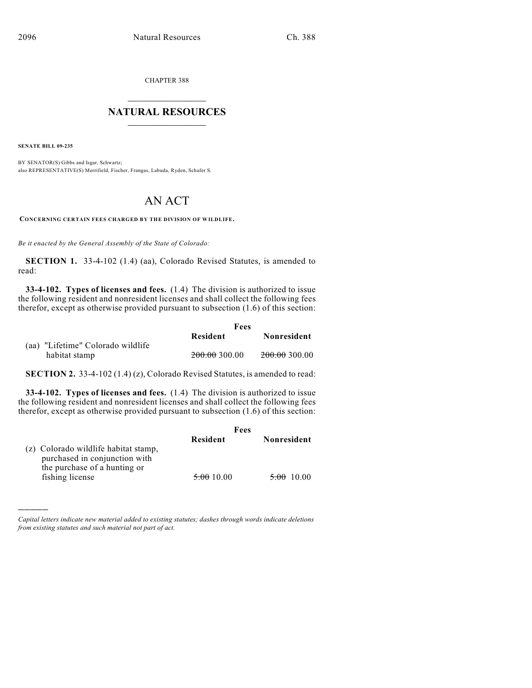CHAPTER 388

## $\mathcal{L}_\text{max}$  . The set of the set of the set of the set of the set of the set of the set of the set of the set of the set of the set of the set of the set of the set of the set of the set of the set of the set of the set **NATURAL RESOURCES**  $\frac{1}{\sqrt{2}}$  , where  $\frac{1}{\sqrt{2}}$  ,  $\frac{1}{\sqrt{2}}$  ,  $\frac{1}{\sqrt{2}}$

**SENATE BILL 09-235**

)))))

BY SENATOR(S) Gibbs and Isgar, Schwartz; also REPRESENTATIVE(S) Merrifield, Fischer, Frangas, Labuda, Ryden, Schafer S.

## AN ACT

**CONCERNING CERTAIN FEES CHARGED BY THE DIVISION OF WILDLIFE.**

*Be it enacted by the General Assembly of the State of Colorado:*

**SECTION 1.** 33-4-102 (1.4) (aa), Colorado Revised Statutes, is amended to read:

**33-4-102. Types of licenses and fees.** (1.4) The division is authorized to issue the following resident and nonresident licenses and shall collect the following fees therefor, except as otherwise provided pursuant to subsection (1.6) of this section:

|                                   | Fees          |                          |
|-----------------------------------|---------------|--------------------------|
|                                   | Resident      | Nonresident              |
| (aa) "Lifetime" Colorado wildlife |               |                          |
| habitat stamp                     | 200.00 300.00 | <del>200.00</del> 300.00 |

**SECTION 2.** 33-4-102 (1.4) (z), Colorado Revised Statutes, is amended to read:

**33-4-102. Types of licenses and fees.** (1.4) The division is authorized to issue the following resident and nonresident licenses and shall collect the following fees therefor, except as otherwise provided pursuant to subsection (1.6) of this section:

|                                                                                                       | Fees                  |                       |
|-------------------------------------------------------------------------------------------------------|-----------------------|-----------------------|
|                                                                                                       | Resident              | Nonresident           |
| (z) Colorado wildlife habitat stamp,<br>purchased in conjunction with<br>the purchase of a hunting or |                       |                       |
| fishing license                                                                                       | <del>5.00</del> 10.00 | <del>5.00</del> 10.00 |

*Capital letters indicate new material added to existing statutes; dashes through words indicate deletions from existing statutes and such material not part of act.*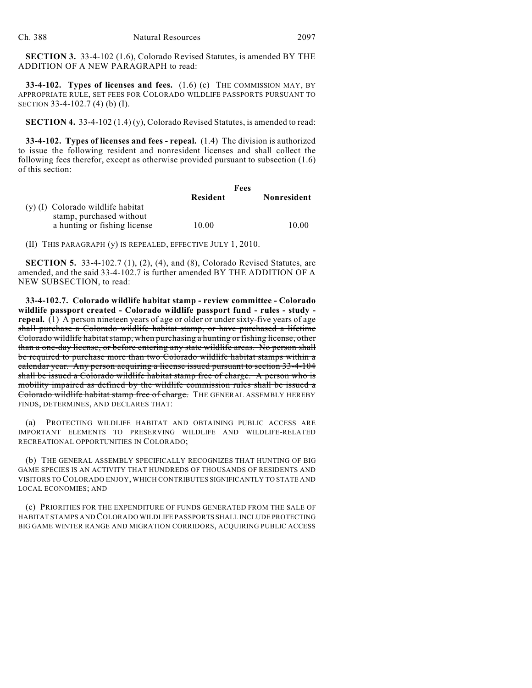**SECTION 3.** 33-4-102 (1.6), Colorado Revised Statutes, is amended BY THE ADDITION OF A NEW PARAGRAPH to read:

**33-4-102. Types of licenses and fees.** (1.6) (c) THE COMMISSION MAY, BY APPROPRIATE RULE, SET FEES FOR COLORADO WILDLIFE PASSPORTS PURSUANT TO SECTION 33-4-102.7 (4) (b) (I).

**SECTION 4.** 33-4-102 (1.4) (y), Colorado Revised Statutes, is amended to read:

**33-4-102. Types of licenses and fees - repeal.** (1.4) The division is authorized to issue the following resident and nonresident licenses and shall collect the following fees therefor, except as otherwise provided pursuant to subsection (1.6) of this section:

|                                                               |                 | Fees        |  |
|---------------------------------------------------------------|-----------------|-------------|--|
|                                                               | <b>Resident</b> | Nonresident |  |
| (y) (I) Colorado wildlife habitat<br>stamp, purchased without |                 |             |  |
| a hunting or fishing license                                  | 10.00           | 10.00       |  |

(II) THIS PARAGRAPH (y) IS REPEALED, EFFECTIVE JULY 1, 2010.

**SECTION 5.** 33-4-102.7 (1), (2), (4), and (8), Colorado Revised Statutes, are amended, and the said 33-4-102.7 is further amended BY THE ADDITION OF A NEW SUBSECTION, to read:

**33-4-102.7. Colorado wildlife habitat stamp - review committee - Colorado wildlife passport created - Colorado wildlife passport fund - rules - study repeal.** (1) A person nineteen years of age or older or under sixty-five years of age shall purchase a Colorado wildlife habitat stamp, or have purchased a lifetime Colorado wildlife habitatstamp, when purchasing a hunting or fishing license, other than a one-day license, or before entering any state wildlife areas. No person shall be required to purchase more than two Colorado wildlife habitat stamps within a calendar year. Any person acquiring a license issued pursuant to section 33-4-104 shall be issued a Colorado wildlife habitat stamp free of charge. A person who is mobility impaired as defined by the wildlife commission rules shall be issued a Colorado wildlife habitat stamp free of charge. THE GENERAL ASSEMBLY HEREBY FINDS, DETERMINES, AND DECLARES THAT:

(a) PROTECTING WILDLIFE HABITAT AND OBTAINING PUBLIC ACCESS ARE IMPORTANT ELEMENTS TO PRESERVING WILDLIFE AND WILDLIFE-RELATED RECREATIONAL OPPORTUNITIES IN COLORADO;

(b) THE GENERAL ASSEMBLY SPECIFICALLY RECOGNIZES THAT HUNTING OF BIG GAME SPECIES IS AN ACTIVITY THAT HUNDREDS OF THOUSANDS OF RESIDENTS AND VISITORS TO COLORADO ENJOY, WHICH CONTRIBUTES SIGNIFICANTLY TO STATE AND LOCAL ECONOMIES; AND

(c) PRIORITIES FOR THE EXPENDITURE OF FUNDS GENERATED FROM THE SALE OF HABITAT STAMPS AND COLORADO WILDLIFE PASSPORTS SHALL INCLUDE PROTECTING BIG GAME WINTER RANGE AND MIGRATION CORRIDORS, ACQUIRING PUBLIC ACCESS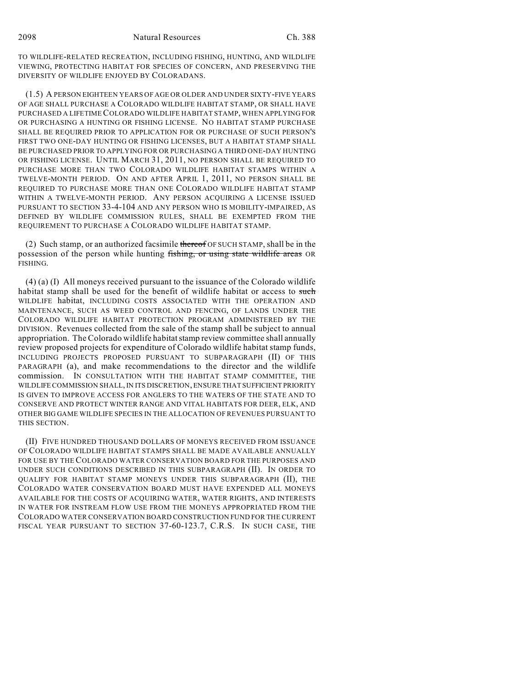TO WILDLIFE-RELATED RECREATION, INCLUDING FISHING, HUNTING, AND WILDLIFE VIEWING, PROTECTING HABITAT FOR SPECIES OF CONCERN, AND PRESERVING THE DIVERSITY OF WILDLIFE ENJOYED BY COLORADANS.

(1.5) A PERSON EIGHTEEN YEARS OF AGE OR OLDER AND UNDER SIXTY-FIVE YEARS OF AGE SHALL PURCHASE A COLORADO WILDLIFE HABITAT STAMP, OR SHALL HAVE PURCHASED A LIFETIME COLORADO WILDLIFE HABITAT STAMP, WHEN APPLYING FOR OR PURCHASING A HUNTING OR FISHING LICENSE. NO HABITAT STAMP PURCHASE SHALL BE REQUIRED PRIOR TO APPLICATION FOR OR PURCHASE OF SUCH PERSON'S FIRST TWO ONE-DAY HUNTING OR FISHING LICENSES, BUT A HABITAT STAMP SHALL BE PURCHASED PRIOR TO APPLYING FOR OR PURCHASING A THIRD ONE-DAY HUNTING OR FISHING LICENSE. UNTIL MARCH 31, 2011, NO PERSON SHALL BE REQUIRED TO PURCHASE MORE THAN TWO COLORADO WILDLIFE HABITAT STAMPS WITHIN A TWELVE-MONTH PERIOD. ON AND AFTER APRIL 1, 2011, NO PERSON SHALL BE REQUIRED TO PURCHASE MORE THAN ONE COLORADO WILDLIFE HABITAT STAMP WITHIN A TWELVE-MONTH PERIOD. ANY PERSON ACQUIRING A LICENSE ISSUED PURSUANT TO SECTION 33-4-104 AND ANY PERSON WHO IS MOBILITY-IMPAIRED, AS DEFINED BY WILDLIFE COMMISSION RULES, SHALL BE EXEMPTED FROM THE REQUIREMENT TO PURCHASE A COLORADO WILDLIFE HABITAT STAMP.

(2) Such stamp, or an authorized facsimile thereof OF SUCH STAMP, shall be in the possession of the person while hunting fishing, or using state wildlife areas OR FISHING.

(4) (a) (I) All moneys received pursuant to the issuance of the Colorado wildlife habitat stamp shall be used for the benefit of wildlife habitat or access to such WILDLIFE habitat, INCLUDING COSTS ASSOCIATED WITH THE OPERATION AND MAINTENANCE, SUCH AS WEED CONTROL AND FENCING, OF LANDS UNDER THE COLORADO WILDLIFE HABITAT PROTECTION PROGRAM ADMINISTERED BY THE DIVISION. Revenues collected from the sale of the stamp shall be subject to annual appropriation. The Colorado wildlife habitat stamp review committee shall annually review proposed projects for expenditure of Colorado wildlife habitat stamp funds, INCLUDING PROJECTS PROPOSED PURSUANT TO SUBPARAGRAPH (II) OF THIS PARAGRAPH (a), and make recommendations to the director and the wildlife commission. IN CONSULTATION WITH THE HABITAT STAMP COMMITTEE, THE WILDLIFE COMMISSION SHALL, IN ITS DISCRETION, ENSURE THAT SUFFICIENT PRIORITY IS GIVEN TO IMPROVE ACCESS FOR ANGLERS TO THE WATERS OF THE STATE AND TO CONSERVE AND PROTECT WINTER RANGE AND VITAL HABITATS FOR DEER, ELK, AND OTHER BIG GAME WILDLIFE SPECIES IN THE ALLOCATION OF REVENUES PURSUANT TO THIS SECTION.

(II) FIVE HUNDRED THOUSAND DOLLARS OF MONEYS RECEIVED FROM ISSUANCE OF COLORADO WILDLIFE HABITAT STAMPS SHALL BE MADE AVAILABLE ANNUALLY FOR USE BY THE COLORADO WATER CONSERVATION BOARD FOR THE PURPOSES AND UNDER SUCH CONDITIONS DESCRIBED IN THIS SUBPARAGRAPH (II). IN ORDER TO QUALIFY FOR HABITAT STAMP MONEYS UNDER THIS SUBPARAGRAPH (II), THE COLORADO WATER CONSERVATION BOARD MUST HAVE EXPENDED ALL MONEYS AVAILABLE FOR THE COSTS OF ACQUIRING WATER, WATER RIGHTS, AND INTERESTS IN WATER FOR INSTREAM FLOW USE FROM THE MONEYS APPROPRIATED FROM THE COLORADO WATER CONSERVATION BOARD CONSTRUCTION FUND FOR THE CURRENT FISCAL YEAR PURSUANT TO SECTION 37-60-123.7, C.R.S. IN SUCH CASE, THE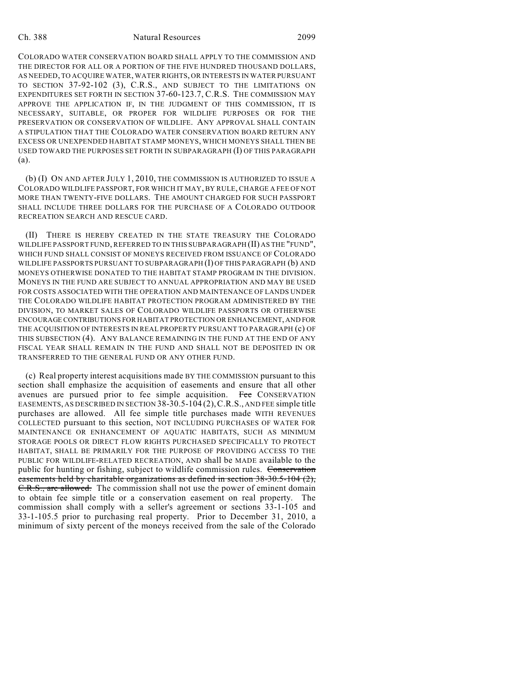## Ch. 388 Natural Resources 2099

COLORADO WATER CONSERVATION BOARD SHALL APPLY TO THE COMMISSION AND THE DIRECTOR FOR ALL OR A PORTION OF THE FIVE HUNDRED THOUSAND DOLLARS, AS NEEDED, TO ACQUIRE WATER, WATER RIGHTS, OR INTERESTS IN WATER PURSUANT TO SECTION 37-92-102 (3), C.R.S., AND SUBJECT TO THE LIMITATIONS ON EXPENDITURES SET FORTH IN SECTION 37-60-123.7, C.R.S. THE COMMISSION MAY APPROVE THE APPLICATION IF, IN THE JUDGMENT OF THIS COMMISSION, IT IS NECESSARY, SUITABLE, OR PROPER FOR WILDLIFE PURPOSES OR FOR THE PRESERVATION OR CONSERVATION OF WILDLIFE. ANY APPROVAL SHALL CONTAIN A STIPULATION THAT THE COLORADO WATER CONSERVATION BOARD RETURN ANY EXCESS OR UNEXPENDED HABITAT STAMP MONEYS, WHICH MONEYS SHALL THEN BE USED TOWARD THE PURPOSES SET FORTH IN SUBPARAGRAPH (I) OF THIS PARAGRAPH (a).

(b) (I) ON AND AFTER JULY 1, 2010, THE COMMISSION IS AUTHORIZED TO ISSUE A COLORADO WILDLIFE PASSPORT, FOR WHICH IT MAY, BY RULE, CHARGE A FEE OF NOT MORE THAN TWENTY-FIVE DOLLARS. THE AMOUNT CHARGED FOR SUCH PASSPORT SHALL INCLUDE THREE DOLLARS FOR THE PURCHASE OF A COLORADO OUTDOOR RECREATION SEARCH AND RESCUE CARD.

(II) THERE IS HEREBY CREATED IN THE STATE TREASURY THE COLORADO WILDLIFE PASSPORT FUND, REFERRED TO IN THIS SUBPARAGRAPH (II) AS THE "FUND", WHICH FUND SHALL CONSIST OF MONEYS RECEIVED FROM ISSUANCE OF COLORADO WILDLIFE PASSPORTS PURSUANT TO SUBPARAGRAPH (I) OF THIS PARAGRAPH (b) AND MONEYS OTHERWISE DONATED TO THE HABITAT STAMP PROGRAM IN THE DIVISION. MONEYS IN THE FUND ARE SUBJECT TO ANNUAL APPROPRIATION AND MAY BE USED FOR COSTS ASSOCIATED WITH THE OPERATION AND MAINTENANCE OF LANDS UNDER THE COLORADO WILDLIFE HABITAT PROTECTION PROGRAM ADMINISTERED BY THE DIVISION, TO MARKET SALES OF COLORADO WILDLIFE PASSPORTS OR OTHERWISE ENCOURAGE CONTRIBUTIONS FOR HABITAT PROTECTION OR ENHANCEMENT, AND FOR THE ACQUISITION OF INTERESTS IN REAL PROPERTY PURSUANT TO PARAGRAPH (c) OF THIS SUBSECTION (4). ANY BALANCE REMAINING IN THE FUND AT THE END OF ANY FISCAL YEAR SHALL REMAIN IN THE FUND AND SHALL NOT BE DEPOSITED IN OR TRANSFERRED TO THE GENERAL FUND OR ANY OTHER FUND.

(c) Real property interest acquisitions made BY THE COMMISSION pursuant to this section shall emphasize the acquisition of easements and ensure that all other avenues are pursued prior to fee simple acquisition. Fee CONSERVATION EASEMENTS, AS DESCRIBED IN SECTION 38-30.5-104 (2),C.R.S., AND FEE simple title purchases are allowed. All fee simple title purchases made WITH REVENUES COLLECTED pursuant to this section, NOT INCLUDING PURCHASES OF WATER FOR MAINTENANCE OR ENHANCEMENT OF AQUATIC HABITATS, SUCH AS MINIMUM STORAGE POOLS OR DIRECT FLOW RIGHTS PURCHASED SPECIFICALLY TO PROTECT HABITAT, SHALL BE PRIMARILY FOR THE PURPOSE OF PROVIDING ACCESS TO THE PUBLIC FOR WILDLIFE-RELATED RECREATION, AND shall be MADE available to the public for hunting or fishing, subject to wildlife commission rules. Conservation easements held by charitable organizations as defined in section 38-30.5-104 (2), C.R.S., are allowed. The commission shall not use the power of eminent domain to obtain fee simple title or a conservation easement on real property. The commission shall comply with a seller's agreement or sections 33-1-105 and 33-1-105.5 prior to purchasing real property. Prior to December 31, 2010, a minimum of sixty percent of the moneys received from the sale of the Colorado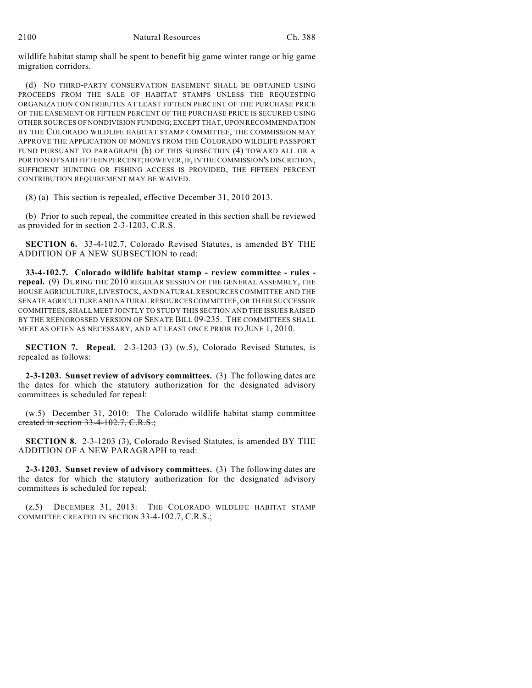wildlife habitat stamp shall be spent to benefit big game winter range or big game migration corridors.

(d) NO THIRD-PARTY CONSERVATION EASEMENT SHALL BE OBTAINED USING PROCEEDS FROM THE SALE OF HABITAT STAMPS UNLESS THE REQUESTING ORGANIZATION CONTRIBUTES AT LEAST FIFTEEN PERCENT OF THE PURCHASE PRICE OF THE EASEMENT OR FIFTEEN PERCENT OF THE PURCHASE PRICE IS SECURED USING OTHER SOURCES OF NONDIVISION FUNDING; EXCEPT THAT, UPON RECOMMENDATION BY THE COLORADO WILDLIFE HABITAT STAMP COMMITTEE, THE COMMISSION MAY APPROVE THE APPLICATION OF MONEYS FROM THE COLORADO WILDLIFE PASSPORT FUND PURSUANT TO PARAGRAPH (b) OF THIS SUBSECTION (4) TOWARD ALL OR A PORTION OF SAID FIFTEEN PERCENT; HOWEVER, IF, IN THE COMMISSION'S DISCRETION, SUFFICIENT HUNTING OR FISHING ACCESS IS PROVIDED, THE FIFTEEN PERCENT CONTRIBUTION REQUIREMENT MAY BE WAIVED.

(8) (a) This section is repealed, effective December 31,  $\frac{2010}{2013}$ .

(b) Prior to such repeal, the committee created in this section shall be reviewed as provided for in section 2-3-1203, C.R.S.

**SECTION 6.** 33-4-102.7, Colorado Revised Statutes, is amended BY THE ADDITION OF A NEW SUBSECTION to read:

**33-4-102.7. Colorado wildlife habitat stamp - review committee - rules repeal.** (9) DURING THE 2010 REGULAR SESSION OF THE GENERAL ASSEMBLY, THE HOUSE AGRICULTURE, LIVESTOCK, AND NATURAL RESOURCES COMMITTEE AND THE SENATE AGRICULTURE AND NATURAL RESOURCES COMMITTEE, OR THEIR SUCCESSOR COMMITTEES, SHALL MEET JOINTLY TO STUDY THIS SECTION AND THE ISSUES RAISED BY THE REENGROSSED VERSION OF SENATE BILL 09-235. THE COMMITTEES SHALL MEET AS OFTEN AS NECESSARY, AND AT LEAST ONCE PRIOR TO JUNE 1, 2010.

**SECTION 7. Repeal.** 2-3-1203 (3) (w.5), Colorado Revised Statutes, is repealed as follows:

**2-3-1203. Sunset review of advisory committees.** (3) The following dates are the dates for which the statutory authorization for the designated advisory committees is scheduled for repeal:

 $(w.5)$  December 31, 2010: The Colorado wildlife habitat stamp committee created in section 33-4-102.7, C.R.S.;

**SECTION 8.** 2-3-1203 (3), Colorado Revised Statutes, is amended BY THE ADDITION OF A NEW PARAGRAPH to read:

**2-3-1203. Sunset review of advisory committees.** (3) The following dates are the dates for which the statutory authorization for the designated advisory committees is scheduled for repeal:

(z.5) DECEMBER 31, 2013: THE COLORADO WILDLIFE HABITAT STAMP COMMITTEE CREATED IN SECTION 33-4-102.7, C.R.S.;